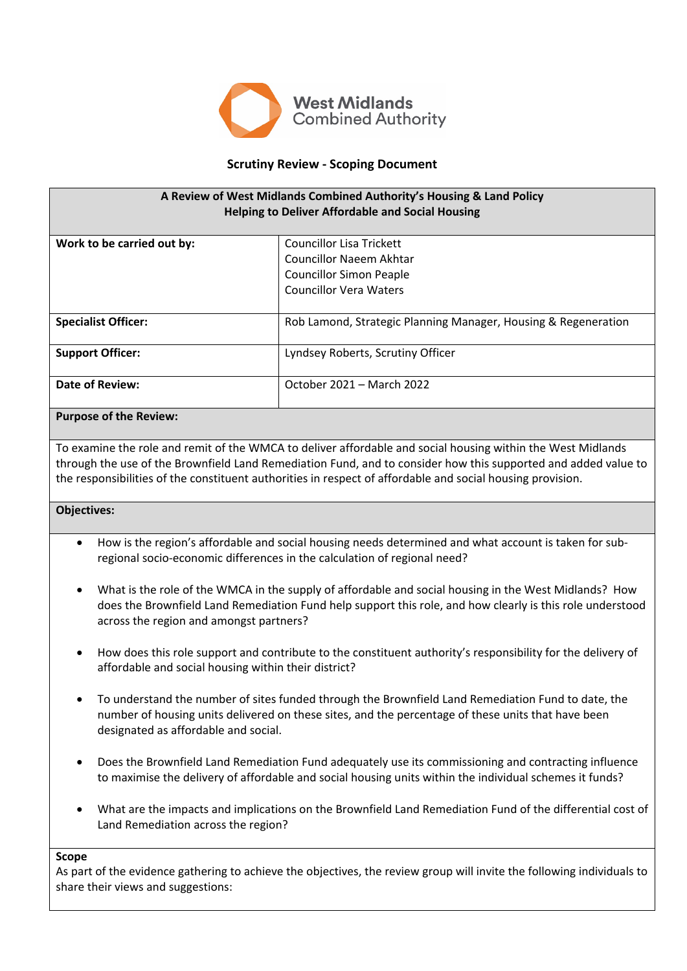

# **Scrutiny Review - Scoping Document**

| A Review of West Midlands Combined Authority's Housing & Land Policy<br><b>Helping to Deliver Affordable and Social Housing</b> |                                                                |  |
|---------------------------------------------------------------------------------------------------------------------------------|----------------------------------------------------------------|--|
| Work to be carried out by:                                                                                                      | <b>Councillor Lisa Trickett</b>                                |  |
|                                                                                                                                 | Councillor Naeem Akhtar                                        |  |
|                                                                                                                                 | <b>Councillor Simon Peaple</b>                                 |  |
|                                                                                                                                 | <b>Councillor Vera Waters</b>                                  |  |
| <b>Specialist Officer:</b>                                                                                                      | Rob Lamond, Strategic Planning Manager, Housing & Regeneration |  |
| <b>Support Officer:</b>                                                                                                         | Lyndsey Roberts, Scrutiny Officer                              |  |
| Date of Review:                                                                                                                 | October 2021 - March 2022                                      |  |

## **Purpose of the Review:**

To examine the role and remit of the WMCA to deliver affordable and social housing within the West Midlands through the use of the Brownfield Land Remediation Fund, and to consider how this supported and added value to the responsibilities of the constituent authorities in respect of affordable and social housing provision.

## **Objectives:**

- How is the region's affordable and social housing needs determined and what account is taken for subregional socio-economic differences in the calculation of regional need?
- What is the role of the WMCA in the supply of affordable and social housing in the West Midlands? How does the Brownfield Land Remediation Fund help support this role, and how clearly is this role understood across the region and amongst partners?
- How does this role support and contribute to the constituent authority's responsibility for the delivery of affordable and social housing within their district?
- To understand the number of sites funded through the Brownfield Land Remediation Fund to date, the number of housing units delivered on these sites, and the percentage of these units that have been designated as affordable and social.
- Does the Brownfield Land Remediation Fund adequately use its commissioning and contracting influence to maximise the delivery of affordable and social housing units within the individual schemes it funds?
- What are the impacts and implications on the Brownfield Land Remediation Fund of the differential cost of Land Remediation across the region?

## **Scope**

As part of the evidence gathering to achieve the objectives, the review group will invite the following individuals to share their views and suggestions: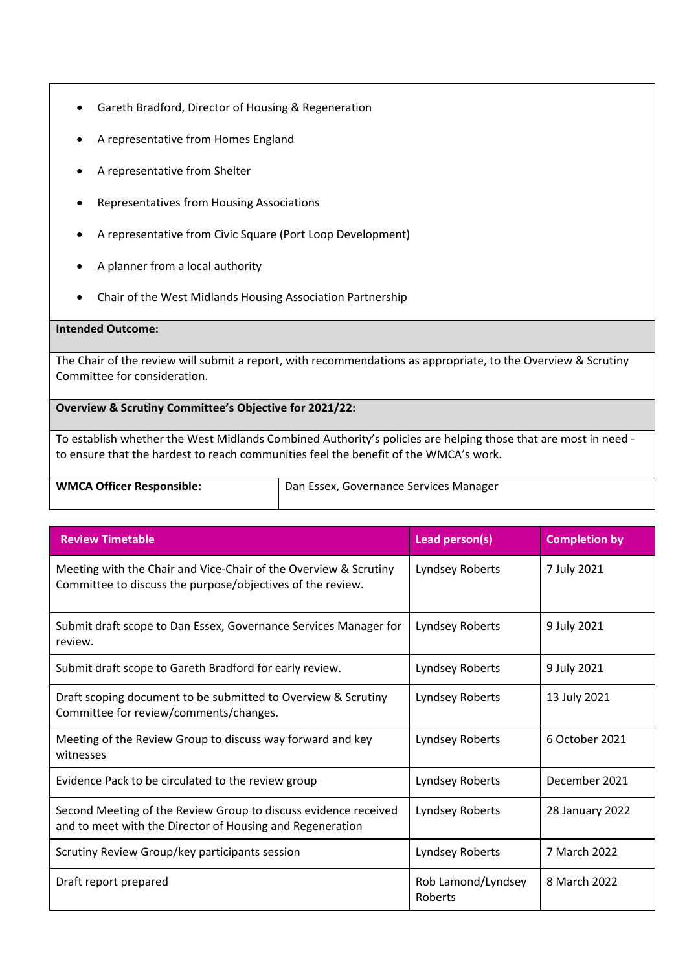- Gareth Bradford, Director of Housing & Regeneration
- A representative from Homes England
- A representative from Shelter
- Representatives from Housing Associations
- A representative from Civic Square (Port Loop Development)
- A planner from a local authority
- Chair of the West Midlands Housing Association Partnership

#### **Intended Outcome:**

The Chair of the review will submit a report, with recommendations as appropriate, to the Overview & Scrutiny Committee for consideration.

**Overview & Scrutiny Committee's Objective for 2021/22:**

To establish whether the West Midlands Combined Authority's policies are helping those that are most in need to ensure that the hardest to reach communities feel the benefit of the WMCA's work.

**WMCA Officer Responsible:** Dan Essex, Governance Services Manager

| <b>Review Timetable</b>                                                                                                        | Lead person(s)                | <b>Completion by</b> |
|--------------------------------------------------------------------------------------------------------------------------------|-------------------------------|----------------------|
| Meeting with the Chair and Vice-Chair of the Overview & Scrutiny<br>Committee to discuss the purpose/objectives of the review. | Lyndsey Roberts               | 7 July 2021          |
| Submit draft scope to Dan Essex, Governance Services Manager for<br>review.                                                    | Lyndsey Roberts               | 9 July 2021          |
| Submit draft scope to Gareth Bradford for early review.                                                                        | Lyndsey Roberts               | 9 July 2021          |
| Draft scoping document to be submitted to Overview & Scrutiny<br>Committee for review/comments/changes.                        | Lyndsey Roberts               | 13 July 2021         |
| Meeting of the Review Group to discuss way forward and key<br>witnesses                                                        | Lyndsey Roberts               | 6 October 2021       |
| Evidence Pack to be circulated to the review group                                                                             | Lyndsey Roberts               | December 2021        |
| Second Meeting of the Review Group to discuss evidence received<br>and to meet with the Director of Housing and Regeneration   | Lyndsey Roberts               | 28 January 2022      |
| Scrutiny Review Group/key participants session                                                                                 | Lyndsey Roberts               | 7 March 2022         |
| Draft report prepared                                                                                                          | Rob Lamond/Lyndsey<br>Roberts | 8 March 2022         |